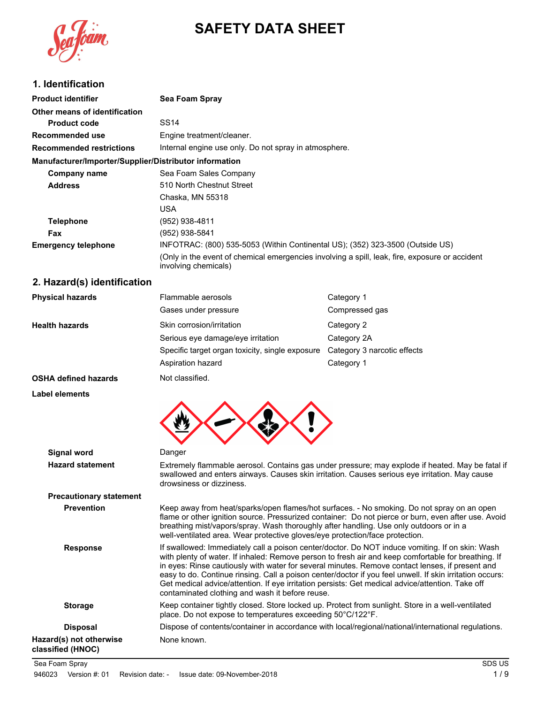

# **SAFETY DATA SHEET**

### **1. Identification**

| <b>Product identifier</b>                              | Sea Foam Spray                                                                                                         |  |  |
|--------------------------------------------------------|------------------------------------------------------------------------------------------------------------------------|--|--|
| Other means of identification                          |                                                                                                                        |  |  |
| <b>Product code</b>                                    | SS14                                                                                                                   |  |  |
| Recommended use                                        | Engine treatment/cleaner.                                                                                              |  |  |
| <b>Recommended restrictions</b>                        | Internal engine use only. Do not spray in atmosphere.                                                                  |  |  |
| Manufacturer/Importer/Supplier/Distributor information |                                                                                                                        |  |  |
| Company name                                           | Sea Foam Sales Company                                                                                                 |  |  |
| <b>Address</b>                                         | 510 North Chestnut Street                                                                                              |  |  |
|                                                        | Chaska, MN 55318                                                                                                       |  |  |
|                                                        | USA                                                                                                                    |  |  |
| <b>Telephone</b>                                       | (952) 938-4811                                                                                                         |  |  |
| Fax                                                    | (952) 938-5841                                                                                                         |  |  |
| <b>Emergency telephone</b>                             | INFOTRAC: (800) 535-5053 (Within Continental US); (352) 323-3500 (Outside US)                                          |  |  |
|                                                        | (Only in the event of chemical emergencies involving a spill, leak, fire, exposure or accident<br>involving chemicals) |  |  |

# **2. Hazard(s) identification**

| <b>Physical hazards</b> | Flammable aerosols                              | Category 1                  |
|-------------------------|-------------------------------------------------|-----------------------------|
|                         | Gases under pressure                            | Compressed gas              |
| <b>Health hazards</b>   | Skin corrosion/irritation                       | Category 2                  |
|                         | Serious eye damage/eye irritation               | Category 2A                 |
|                         | Specific target organ toxicity, single exposure | Category 3 narcotic effects |
|                         | Aspiration hazard                               | Category 1                  |
| OCUA defined because    | Not algooified                                  |                             |

**OSHA defined hazards** Not classified.

#### **Label elements**



| Signal word                                  | Danger                                                                                                                                                                                                                                                                                                                                                                                                                                                                                                                                                                       |  |
|----------------------------------------------|------------------------------------------------------------------------------------------------------------------------------------------------------------------------------------------------------------------------------------------------------------------------------------------------------------------------------------------------------------------------------------------------------------------------------------------------------------------------------------------------------------------------------------------------------------------------------|--|
| <b>Hazard statement</b>                      | Extremely flammable aerosol. Contains gas under pressure; may explode if heated. May be fatal if<br>swallowed and enters airways. Causes skin irritation. Causes serious eye irritation. May cause<br>drowsiness or dizziness.                                                                                                                                                                                                                                                                                                                                               |  |
| <b>Precautionary statement</b>               |                                                                                                                                                                                                                                                                                                                                                                                                                                                                                                                                                                              |  |
| <b>Prevention</b>                            | Keep away from heat/sparks/open flames/hot surfaces. - No smoking. Do not spray on an open<br>flame or other ignition source. Pressurized container: Do not pierce or burn, even after use. Avoid<br>breathing mist/vapors/spray. Wash thoroughly after handling. Use only outdoors or in a<br>well-ventilated area. Wear protective gloves/eye protection/face protection.                                                                                                                                                                                                  |  |
| <b>Response</b>                              | If swallowed: Immediately call a poison center/doctor. Do NOT induce vomiting. If on skin: Wash<br>with plenty of water. If inhaled: Remove person to fresh air and keep comfortable for breathing. If<br>in eyes: Rinse cautiously with water for several minutes. Remove contact lenses, if present and<br>easy to do. Continue rinsing. Call a poison center/doctor if you feel unwell. If skin irritation occurs:<br>Get medical advice/attention. If eye irritation persists: Get medical advice/attention. Take off<br>contaminated clothing and wash it before reuse. |  |
| <b>Storage</b>                               | Keep container tightly closed. Store locked up. Protect from sunlight. Store in a well-ventilated<br>place. Do not expose to temperatures exceeding 50°C/122°F.                                                                                                                                                                                                                                                                                                                                                                                                              |  |
| <b>Disposal</b>                              | Dispose of contents/container in accordance with local/regional/national/international regulations.                                                                                                                                                                                                                                                                                                                                                                                                                                                                          |  |
| Hazard(s) not otherwise<br>classified (HNOC) | None known.                                                                                                                                                                                                                                                                                                                                                                                                                                                                                                                                                                  |  |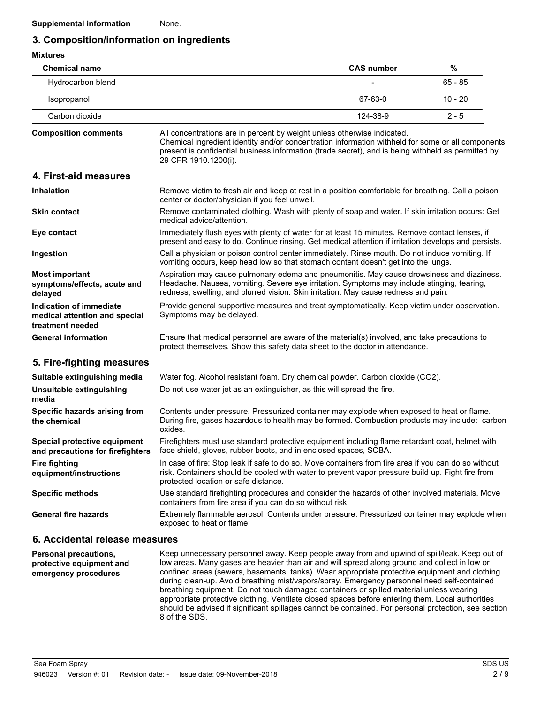### **3. Composition/information on ingredients**

| <b>Mixtures</b>                                                              |                                                                                                                                                                                                                                                                                                            |                   |           |
|------------------------------------------------------------------------------|------------------------------------------------------------------------------------------------------------------------------------------------------------------------------------------------------------------------------------------------------------------------------------------------------------|-------------------|-----------|
| <b>Chemical name</b>                                                         |                                                                                                                                                                                                                                                                                                            | <b>CAS number</b> | $\%$      |
| Hydrocarbon blend                                                            |                                                                                                                                                                                                                                                                                                            |                   | $65 - 85$ |
| Isopropanol                                                                  |                                                                                                                                                                                                                                                                                                            | 67-63-0           | $10 - 20$ |
| Carbon dioxide                                                               |                                                                                                                                                                                                                                                                                                            | 124-38-9          | $2 - 5$   |
| <b>Composition comments</b>                                                  | All concentrations are in percent by weight unless otherwise indicated.<br>Chemical ingredient identity and/or concentration information withheld for some or all components<br>present is confidential business information (trade secret), and is being withheld as permitted by<br>29 CFR 1910.1200(i). |                   |           |
| 4. First-aid measures                                                        |                                                                                                                                                                                                                                                                                                            |                   |           |
| <b>Inhalation</b>                                                            | Remove victim to fresh air and keep at rest in a position comfortable for breathing. Call a poison<br>center or doctor/physician if you feel unwell.                                                                                                                                                       |                   |           |
| <b>Skin contact</b>                                                          | Remove contaminated clothing. Wash with plenty of soap and water. If skin irritation occurs: Get<br>medical advice/attention.                                                                                                                                                                              |                   |           |
| Eye contact                                                                  | Immediately flush eyes with plenty of water for at least 15 minutes. Remove contact lenses, if<br>present and easy to do. Continue rinsing. Get medical attention if irritation develops and persists.                                                                                                     |                   |           |
| Ingestion                                                                    | Call a physician or poison control center immediately. Rinse mouth. Do not induce vomiting. If<br>vomiting occurs, keep head low so that stomach content doesn't get into the lungs.                                                                                                                       |                   |           |
| <b>Most important</b><br>symptoms/effects, acute and<br>delayed              | Aspiration may cause pulmonary edema and pneumonitis. May cause drowsiness and dizziness.<br>Headache. Nausea, vomiting. Severe eye irritation. Symptoms may include stinging, tearing,<br>redness, swelling, and blurred vision. Skin irritation. May cause redness and pain.                             |                   |           |
| Indication of immediate<br>medical attention and special<br>treatment needed | Provide general supportive measures and treat symptomatically. Keep victim under observation.<br>Symptoms may be delayed.                                                                                                                                                                                  |                   |           |
| <b>General information</b>                                                   | Ensure that medical personnel are aware of the material(s) involved, and take precautions to<br>protect themselves. Show this safety data sheet to the doctor in attendance.                                                                                                                               |                   |           |
| 5. Fire-fighting measures                                                    |                                                                                                                                                                                                                                                                                                            |                   |           |
| Suitable extinguishing media                                                 | Water fog. Alcohol resistant foam. Dry chemical powder. Carbon dioxide (CO2).                                                                                                                                                                                                                              |                   |           |
| Unsuitable extinguishing<br>media                                            | Do not use water jet as an extinguisher, as this will spread the fire.                                                                                                                                                                                                                                     |                   |           |
| Specific hazards arising from<br>the chemical                                | Contents under pressure. Pressurized container may explode when exposed to heat or flame.<br>During fire, gases hazardous to health may be formed. Combustion products may include: carbon<br>oxides.                                                                                                      |                   |           |
| Special protective equipment<br>and precautions for firefighters             | Firefighters must use standard protective equipment including flame retardant coat, helmet with<br>face shield, gloves, rubber boots, and in enclosed spaces, SCBA.                                                                                                                                        |                   |           |
| <b>Fire fighting</b><br>equipment/instructions                               | In case of fire: Stop leak if safe to do so. Move containers from fire area if you can do so without<br>risk. Containers should be cooled with water to prevent vapor pressure build up. Fight fire from<br>protected location or safe distance.                                                           |                   |           |
| <b>Specific methods</b>                                                      | Use standard firefighting procedures and consider the hazards of other involved materials. Move<br>containers from fire area if you can do so without risk.                                                                                                                                                |                   |           |
| <b>General fire hazards</b>                                                  | Extremely flammable aerosol. Contents under pressure. Pressurized container may explode when<br>exposed to heat or flame.                                                                                                                                                                                  |                   |           |
| 6. Accidental release measures                                               |                                                                                                                                                                                                                                                                                                            |                   |           |

Keep unnecessary personnel away. Keep people away from and upwind of spill/leak. Keep out of low areas. Many gases are heavier than air and will spread along ground and collect in low or confined areas (sewers, basements, tanks). Wear appropriate protective equipment and clothing during clean-up. Avoid breathing mist/vapors/spray. Emergency personnel need self-contained breathing equipment. Do not touch damaged containers or spilled material unless wearing appropriate protective clothing. Ventilate closed spaces before entering them. Local authorities should be advised if significant spillages cannot be contained. For personal protection, see section 8 of the SDS. **Personal precautions, protective equipment and emergency procedures**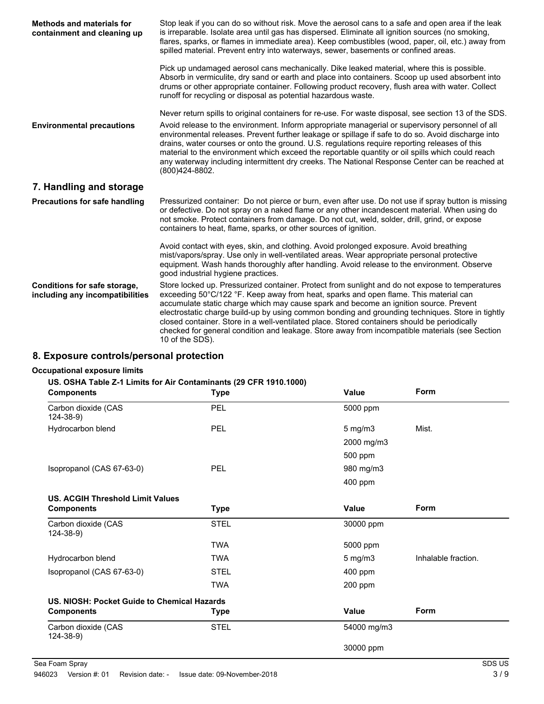| <b>Methods and materials for</b><br>containment and cleaning up | Stop leak if you can do so without risk. Move the aerosol cans to a safe and open area if the leak<br>is irreparable. Isolate area until gas has dispersed. Eliminate all ignition sources (no smoking,<br>flares, sparks, or flames in immediate area). Keep combustibles (wood, paper, oil, etc.) away from<br>spilled material. Prevent entry into waterways, sewer, basements or confined areas.                                                                                                                                                                                                      |
|-----------------------------------------------------------------|-----------------------------------------------------------------------------------------------------------------------------------------------------------------------------------------------------------------------------------------------------------------------------------------------------------------------------------------------------------------------------------------------------------------------------------------------------------------------------------------------------------------------------------------------------------------------------------------------------------|
|                                                                 | Pick up undamaged aerosol cans mechanically. Dike leaked material, where this is possible.<br>Absorb in vermiculite, dry sand or earth and place into containers. Scoop up used absorbent into<br>drums or other appropriate container. Following product recovery, flush area with water. Collect<br>runoff for recycling or disposal as potential hazardous waste.                                                                                                                                                                                                                                      |
|                                                                 | Never return spills to original containers for re-use. For waste disposal, see section 13 of the SDS.                                                                                                                                                                                                                                                                                                                                                                                                                                                                                                     |
| <b>Environmental precautions</b>                                | Avoid release to the environment. Inform appropriate managerial or supervisory personnel of all<br>environmental releases. Prevent further leakage or spillage if safe to do so. Avoid discharge into<br>drains, water courses or onto the ground. U.S. regulations require reporting releases of this<br>material to the environment which exceed the reportable quantity or oil spills which could reach<br>any waterway including intermittent dry creeks. The National Response Center can be reached at<br>(800)424-8802.                                                                            |
| 7. Handling and storage                                         |                                                                                                                                                                                                                                                                                                                                                                                                                                                                                                                                                                                                           |
| <b>Precautions for safe handling</b>                            | Pressurized container: Do not pierce or burn, even after use. Do not use if spray button is missing<br>or defective. Do not spray on a naked flame or any other incandescent material. When using do<br>not smoke. Protect containers from damage. Do not cut, weld, solder, drill, grind, or expose<br>containers to heat, flame, sparks, or other sources of ignition.                                                                                                                                                                                                                                  |
|                                                                 | Avoid contact with eyes, skin, and clothing. Avoid prolonged exposure. Avoid breathing<br>mist/vapors/spray. Use only in well-ventilated areas. Wear appropriate personal protective<br>equipment. Wash hands thoroughly after handling. Avoid release to the environment. Observe<br>good industrial hygiene practices.                                                                                                                                                                                                                                                                                  |
| Conditions for safe storage,<br>including any incompatibilities | Store locked up. Pressurized container. Protect from sunlight and do not expose to temperatures<br>exceeding 50°C/122 °F. Keep away from heat, sparks and open flame. This material can<br>accumulate static charge which may cause spark and become an ignition source. Prevent<br>electrostatic charge build-up by using common bonding and grounding techniques. Store in tightly<br>closed container. Store in a well-ventilated place. Stored containers should be periodically<br>checked for general condition and leakage. Store away from incompatible materials (see Section<br>10 of the SDS). |

### **8. Exposure controls/personal protection**

#### **Occupational exposure limits**

#### **US. OSHA Table Z-1 Limits for Air Contaminants (29 CFR 1910.1000)**

| <b>Components</b>                           | <b>Type</b> | <b>Value</b>                              | Form        |
|---------------------------------------------|-------------|-------------------------------------------|-------------|
| Carbon dioxide (CAS<br>$124 - 38 - 9$       | PEL         | 5000 ppm                                  |             |
| Hydrocarbon blend                           | <b>PEL</b>  | $5$ mg/m $3$                              | Mist.       |
|                                             |             | 2000 mg/m3                                |             |
|                                             |             | 500 ppm                                   |             |
| Isopropanol (CAS 67-63-0)                   | <b>PEL</b>  | 980 mg/m3                                 |             |
|                                             |             | 400 ppm                                   |             |
| <b>US. ACGIH Threshold Limit Values</b>     |             |                                           |             |
| <b>Components</b>                           | <b>Type</b> | Value                                     | <b>Form</b> |
| Carbon dioxide (CAS<br>$124 - 38 - 9$       | <b>STEL</b> | 30000 ppm                                 |             |
|                                             | <b>TWA</b>  | 5000 ppm                                  |             |
| Hydrocarbon blend                           | <b>TWA</b>  | Inhalable fraction.<br>$5 \text{ mg/m}$ 3 |             |
| Isopropanol (CAS 67-63-0)                   | <b>STEL</b> | 400 ppm                                   |             |
|                                             | <b>TWA</b>  | 200 ppm                                   |             |
| US. NIOSH: Pocket Guide to Chemical Hazards |             |                                           |             |
| <b>Components</b>                           | <b>Type</b> | Value                                     | Form        |
| Carbon dioxide (CAS<br>$124 - 38 - 9$       | <b>STEL</b> | 54000 mg/m3                               |             |
|                                             |             | 30000 ppm                                 |             |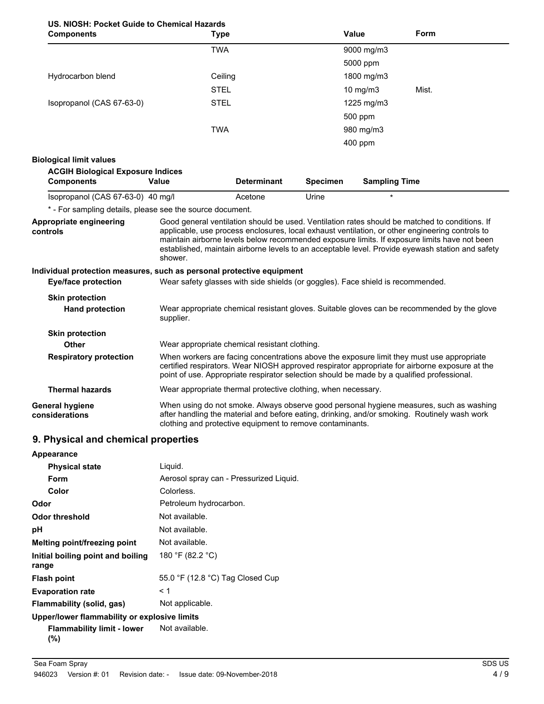### **US. NIOSH: Pocket Guide to Chemical Hazards**

| <b>Components</b>                                                                 |              | <b>Type</b>                                                                                                                                                                                                                                                                               |                 | <b>Value</b>         | Form                                                                                                                                                                                                                                                                                                |
|-----------------------------------------------------------------------------------|--------------|-------------------------------------------------------------------------------------------------------------------------------------------------------------------------------------------------------------------------------------------------------------------------------------------|-----------------|----------------------|-----------------------------------------------------------------------------------------------------------------------------------------------------------------------------------------------------------------------------------------------------------------------------------------------------|
|                                                                                   |              | <b>TWA</b>                                                                                                                                                                                                                                                                                |                 | 9000 mg/m3           |                                                                                                                                                                                                                                                                                                     |
|                                                                                   |              |                                                                                                                                                                                                                                                                                           |                 | 5000 ppm             |                                                                                                                                                                                                                                                                                                     |
| Hydrocarbon blend                                                                 |              | Ceiling                                                                                                                                                                                                                                                                                   |                 | 1800 mg/m3           |                                                                                                                                                                                                                                                                                                     |
|                                                                                   |              | <b>STEL</b>                                                                                                                                                                                                                                                                               |                 | 10 $mg/m3$           | Mist.                                                                                                                                                                                                                                                                                               |
| Isopropanol (CAS 67-63-0)                                                         |              | <b>STEL</b>                                                                                                                                                                                                                                                                               |                 | 1225 mg/m3           |                                                                                                                                                                                                                                                                                                     |
|                                                                                   |              |                                                                                                                                                                                                                                                                                           |                 | 500 ppm              |                                                                                                                                                                                                                                                                                                     |
|                                                                                   |              | <b>TWA</b>                                                                                                                                                                                                                                                                                |                 | 980 mg/m3            |                                                                                                                                                                                                                                                                                                     |
|                                                                                   |              |                                                                                                                                                                                                                                                                                           |                 | 400 ppm              |                                                                                                                                                                                                                                                                                                     |
| <b>Biological limit values</b>                                                    |              |                                                                                                                                                                                                                                                                                           |                 |                      |                                                                                                                                                                                                                                                                                                     |
| <b>ACGIH Biological Exposure Indices</b>                                          |              |                                                                                                                                                                                                                                                                                           |                 |                      |                                                                                                                                                                                                                                                                                                     |
| <b>Components</b>                                                                 | <b>Value</b> | <b>Determinant</b>                                                                                                                                                                                                                                                                        | <b>Specimen</b> | <b>Sampling Time</b> |                                                                                                                                                                                                                                                                                                     |
| Isopropanol (CAS 67-63-0) 40 mg/l                                                 |              | Acetone                                                                                                                                                                                                                                                                                   | Urine           |                      |                                                                                                                                                                                                                                                                                                     |
| * - For sampling details, please see the source document.                         |              |                                                                                                                                                                                                                                                                                           |                 |                      |                                                                                                                                                                                                                                                                                                     |
| controls<br>Individual protection measures, such as personal protective equipment | shower.      |                                                                                                                                                                                                                                                                                           |                 |                      | applicable, use process enclosures, local exhaust ventilation, or other engineering controls to<br>maintain airborne levels below recommended exposure limits. If exposure limits have not been<br>established, maintain airborne levels to an acceptable level. Provide eyewash station and safety |
| <b>Eye/face protection</b>                                                        |              | Wear safety glasses with side shields (or goggles). Face shield is recommended.                                                                                                                                                                                                           |                 |                      |                                                                                                                                                                                                                                                                                                     |
| <b>Skin protection</b>                                                            |              |                                                                                                                                                                                                                                                                                           |                 |                      |                                                                                                                                                                                                                                                                                                     |
| <b>Hand protection</b>                                                            | supplier.    |                                                                                                                                                                                                                                                                                           |                 |                      | Wear appropriate chemical resistant gloves. Suitable gloves can be recommended by the glove                                                                                                                                                                                                         |
| <b>Skin protection</b>                                                            |              |                                                                                                                                                                                                                                                                                           |                 |                      |                                                                                                                                                                                                                                                                                                     |
| Other                                                                             |              | Wear appropriate chemical resistant clothing.                                                                                                                                                                                                                                             |                 |                      |                                                                                                                                                                                                                                                                                                     |
| <b>Respiratory protection</b>                                                     |              | When workers are facing concentrations above the exposure limit they must use appropriate<br>certified respirators. Wear NIOSH approved respirator appropriate for airborne exposure at the<br>point of use. Appropriate respirator selection should be made by a qualified professional. |                 |                      |                                                                                                                                                                                                                                                                                                     |
| <b>Thermal hazards</b>                                                            |              | Wear appropriate thermal protective clothing, when necessary.                                                                                                                                                                                                                             |                 |                      |                                                                                                                                                                                                                                                                                                     |
| General hygiene<br>considerations                                                 |              | When using do not smoke. Always observe good personal hygiene measures, such as washing<br>after handling the material and before eating, drinking, and/or smoking. Routinely wash work<br>clothing and protective equipment to remove contaminants.                                      |                 |                      |                                                                                                                                                                                                                                                                                                     |

### **9. Physical and chemical properties**

| Appearance                                   |                                         |
|----------------------------------------------|-----------------------------------------|
| <b>Physical state</b>                        | Liquid.                                 |
| Form                                         | Aerosol spray can - Pressurized Liquid. |
| Color                                        | Colorless.                              |
| Odor                                         | Petroleum hydrocarbon.                  |
| Odor threshold                               | Not available.                          |
| рH                                           | Not available.                          |
| Melting point/freezing point                 | Not available.                          |
| Initial boiling point and boiling<br>range   | 180 °F (82.2 °C)                        |
| <b>Flash point</b>                           | 55.0 °F (12.8 °C) Tag Closed Cup        |
| <b>Evaporation rate</b>                      | < 1                                     |
| Flammability (solid, gas)                    | Not applicable.                         |
| Upper/lower flammability or explosive limits |                                         |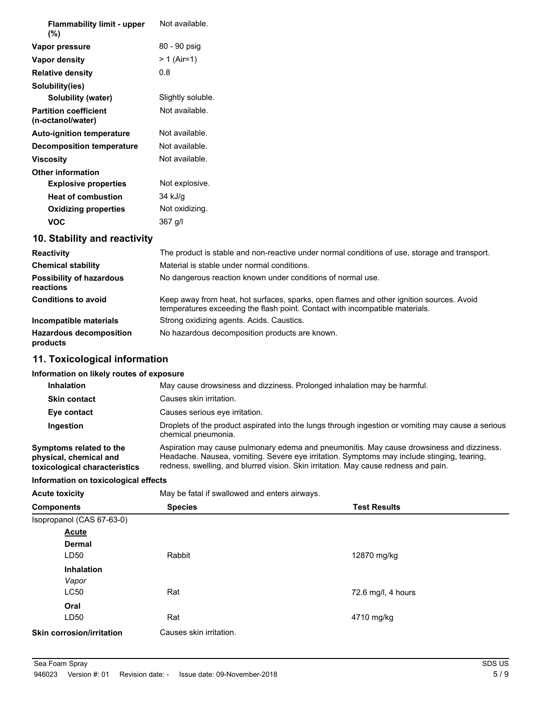| <b>Flammability limit - upper</b><br>$(\% )$      | Not available.    |
|---------------------------------------------------|-------------------|
| Vapor pressure                                    | 80 - 90 psig      |
| Vapor density                                     | $> 1$ (Air=1)     |
| <b>Relative density</b>                           | 0.8               |
| Solubility(ies)                                   |                   |
| Solubility (water)                                | Slightly soluble. |
| <b>Partition coefficient</b><br>(n-octanol/water) | Not available.    |
| <b>Auto-ignition temperature</b>                  | Not available.    |
| Decomposition temperature                         | Not available.    |
| <b>Viscosity</b>                                  | Not available.    |
| <b>Other information</b>                          |                   |
| <b>Explosive properties</b>                       | Not explosive.    |
| <b>Heat of combustion</b>                         | 34 kJ/g           |
| <b>Oxidizing properties</b>                       | Not oxidizing.    |
| <b>VOC</b>                                        | 367 g/l           |

### **10. Stability and reactivity**

| <b>Reactivity</b>                            | The product is stable and non-reactive under normal conditions of use, storage and transport.                                                                            |  |  |
|----------------------------------------------|--------------------------------------------------------------------------------------------------------------------------------------------------------------------------|--|--|
| <b>Chemical stability</b>                    | Material is stable under normal conditions.                                                                                                                              |  |  |
| <b>Possibility of hazardous</b><br>reactions | No dangerous reaction known under conditions of normal use.                                                                                                              |  |  |
| <b>Conditions to avoid</b>                   | Keep away from heat, hot surfaces, sparks, open flames and other ignition sources. Avoid<br>temperatures exceeding the flash point. Contact with incompatible materials. |  |  |
| Incompatible materials                       | Strong oxidizing agents. Acids. Caustics.                                                                                                                                |  |  |
| <b>Hazardous decomposition</b><br>products   | No hazardous decomposition products are known.                                                                                                                           |  |  |

# **11. Toxicological information**

#### **Information on likely routes of exposure**

| <b>Inhalation</b>                                                                  | May cause drowsiness and dizziness. Prolonged inhalation may be harmful.                                                                                                                                                                                                       |  |  |
|------------------------------------------------------------------------------------|--------------------------------------------------------------------------------------------------------------------------------------------------------------------------------------------------------------------------------------------------------------------------------|--|--|
| <b>Skin contact</b>                                                                | Causes skin irritation.                                                                                                                                                                                                                                                        |  |  |
| Eye contact                                                                        | Causes serious eye irritation.                                                                                                                                                                                                                                                 |  |  |
| Ingestion                                                                          | Droplets of the product aspirated into the lungs through ingestion or vomiting may cause a serious<br>chemical pneumonia.                                                                                                                                                      |  |  |
| Symptoms related to the<br>physical, chemical and<br>toxicological characteristics | Aspiration may cause pulmonary edema and pneumonitis. May cause drowsiness and dizziness.<br>Headache. Nausea, vomiting. Severe eye irritation. Symptoms may include stinging, tearing,<br>redness, swelling, and blurred vision. Skin irritation. May cause redness and pain. |  |  |

#### **Information on toxicological effects**

| <b>Acute toxicity</b>            | May be fatal if swallowed and enters airways. |                     |  |
|----------------------------------|-----------------------------------------------|---------------------|--|
| <b>Components</b>                | <b>Species</b>                                | <b>Test Results</b> |  |
| Isopropanol (CAS 67-63-0)        |                                               |                     |  |
| <b>Acute</b>                     |                                               |                     |  |
| <b>Dermal</b>                    |                                               |                     |  |
| LD50                             | Rabbit                                        | 12870 mg/kg         |  |
| <b>Inhalation</b>                |                                               |                     |  |
| Vapor                            |                                               |                     |  |
| <b>LC50</b>                      | Rat                                           | 72.6 mg/l, 4 hours  |  |
| Oral                             |                                               |                     |  |
| LD <sub>50</sub>                 | Rat                                           | 4710 mg/kg          |  |
| <b>Skin corrosion/irritation</b> | Causes skin irritation.                       |                     |  |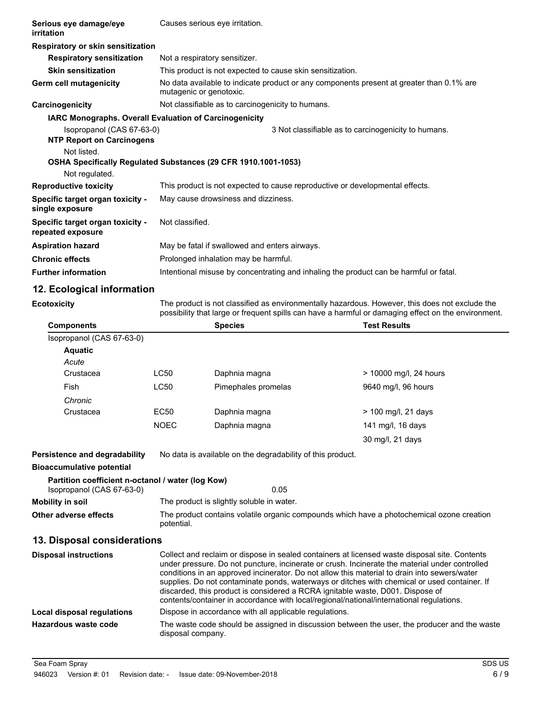| Serious eye damage/eye<br>irritation                          | Causes serious eye irritation.                                 |                                                                                                                                                                                                       |
|---------------------------------------------------------------|----------------------------------------------------------------|-------------------------------------------------------------------------------------------------------------------------------------------------------------------------------------------------------|
| Respiratory or skin sensitization                             |                                                                |                                                                                                                                                                                                       |
| <b>Respiratory sensitization</b>                              | Not a respiratory sensitizer.                                  |                                                                                                                                                                                                       |
| <b>Skin sensitization</b>                                     | This product is not expected to cause skin sensitization.      |                                                                                                                                                                                                       |
| Germ cell mutagenicity                                        | mutagenic or genotoxic.                                        | No data available to indicate product or any components present at greater than 0.1% are                                                                                                              |
| Carcinogenicity                                               | Not classifiable as to carcinogenicity to humans.              |                                                                                                                                                                                                       |
|                                                               | <b>IARC Monographs. Overall Evaluation of Carcinogenicity</b>  |                                                                                                                                                                                                       |
| Isopropanol (CAS 67-63-0)<br><b>NTP Report on Carcinogens</b> |                                                                | 3 Not classifiable as to carcinogenicity to humans.                                                                                                                                                   |
| Not listed.                                                   | OSHA Specifically Regulated Substances (29 CFR 1910.1001-1053) |                                                                                                                                                                                                       |
| Not regulated.                                                |                                                                |                                                                                                                                                                                                       |
| <b>Reproductive toxicity</b>                                  |                                                                | This product is not expected to cause reproductive or developmental effects.                                                                                                                          |
| Specific target organ toxicity -<br>single exposure           | May cause drowsiness and dizziness.                            |                                                                                                                                                                                                       |
| Specific target organ toxicity -<br>repeated exposure         | Not classified.                                                |                                                                                                                                                                                                       |
| <b>Aspiration hazard</b>                                      | May be fatal if swallowed and enters airways.                  |                                                                                                                                                                                                       |
| <b>Chronic effects</b>                                        | Prolonged inhalation may be harmful.                           |                                                                                                                                                                                                       |
| <b>Further information</b>                                    |                                                                | Intentional misuse by concentrating and inhaling the product can be harmful or fatal.                                                                                                                 |
| 12. Ecological information                                    |                                                                |                                                                                                                                                                                                       |
| <b>Ecotoxicity</b>                                            |                                                                | The product is not classified as environmentally hazardous. However, this does not exclude the<br>possibility that large or frequent spills can have a harmful or damaging effect on the environment. |
| <b>Components</b>                                             | <b>Species</b>                                                 | <b>Test Results</b>                                                                                                                                                                                   |
| Isopropanol (CAS 67-63-0)                                     |                                                                |                                                                                                                                                                                                       |

| 1999 - 19 GAO UP TO PUPID |             |                     |                        |
|---------------------------|-------------|---------------------|------------------------|
| <b>Aquatic</b>            |             |                     |                        |
| Acute                     |             |                     |                        |
| Crustacea                 | LC50        | Daphnia magna       | > 10000 mg/l, 24 hours |
| Fish                      | LC50        | Pimephales promelas | 9640 mg/l, 96 hours    |
| Chronic                   |             |                     |                        |
| Crustacea                 | EC50        | Daphnia magna       | $>$ 100 mg/l, 21 days  |
|                           | <b>NOEC</b> | Daphnia magna       | 141 mg/l, 16 days      |
|                           |             |                     | 30 mg/l, 21 days       |

**Persistence and degradability** No data is available on the degradability of this product. **Bioaccumulative potential Partition coefficient n-octanol / water (log Kow)** Isopropanol (CAS 67-63-0) 0.05 **Mobility in soil** The product is slightly soluble in water. **Other adverse effects** The product contains volatile organic compounds which have a photochemical ozone creation potential. **13. Disposal considerations**

#### Collect and reclaim or dispose in sealed containers at licensed waste disposal site. Contents under pressure. Do not puncture, incinerate or crush. Incinerate the material under controlled conditions in an approved incinerator. Do not allow this material to drain into sewers/water supplies. Do not contaminate ponds, waterways or ditches with chemical or used container. If discarded, this product is considered a RCRA ignitable waste, D001. Dispose of contents/container in accordance with local/regional/national/international regulations. **Disposal instructions Local disposal regulations** Dispose in accordance with all applicable regulations. The waste code should be assigned in discussion between the user, the producer and the waste disposal company. **Hazardous waste code**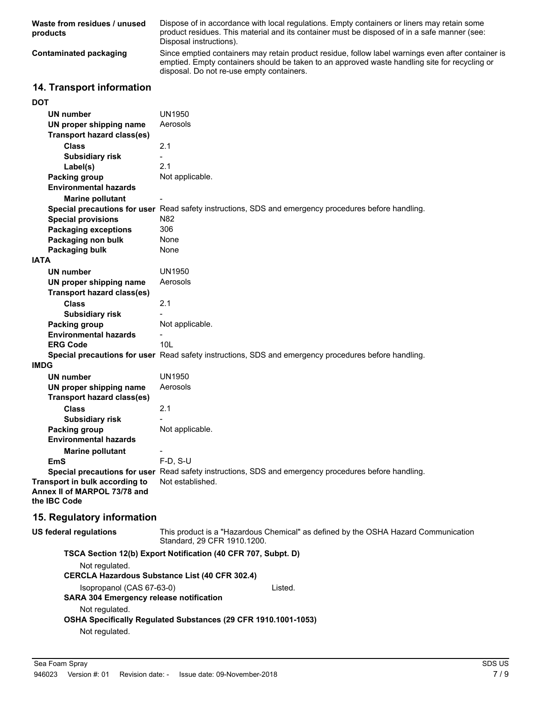| Waste from residues / unused<br>products | Dispose of in accordance with local regulations. Empty containers or liners may retain some<br>product residues. This material and its container must be disposed of in a safe manner (see:<br>Disposal instructions).                           |
|------------------------------------------|--------------------------------------------------------------------------------------------------------------------------------------------------------------------------------------------------------------------------------------------------|
| Contaminated packaging                   | Since emptied containers may retain product residue, follow label warnings even after container is<br>emptied. Empty containers should be taken to an approved waste handling site for recycling or<br>disposal. Do not re-use empty containers. |

# **14. Transport information**

| <b>DOT</b>                                                     |                                                                                                      |
|----------------------------------------------------------------|------------------------------------------------------------------------------------------------------|
| <b>UN number</b>                                               | UN1950                                                                                               |
| UN proper shipping name                                        | Aerosols                                                                                             |
| <b>Transport hazard class(es)</b>                              |                                                                                                      |
| <b>Class</b>                                                   | 2.1                                                                                                  |
| <b>Subsidiary risk</b>                                         | $\overline{a}$                                                                                       |
| Label(s)                                                       | 2.1                                                                                                  |
| <b>Packing group</b>                                           | Not applicable.                                                                                      |
| <b>Environmental hazards</b>                                   |                                                                                                      |
| <b>Marine pollutant</b>                                        |                                                                                                      |
|                                                                | Special precautions for user Read safety instructions, SDS and emergency procedures before handling. |
| <b>Special provisions</b>                                      | N82                                                                                                  |
| <b>Packaging exceptions</b>                                    | 306                                                                                                  |
| Packaging non bulk                                             | None                                                                                                 |
| Packaging bulk                                                 | None                                                                                                 |
| <b>IATA</b>                                                    |                                                                                                      |
| <b>UN number</b>                                               | UN1950                                                                                               |
| UN proper shipping name                                        | Aerosols                                                                                             |
| <b>Transport hazard class(es)</b>                              |                                                                                                      |
| Class                                                          | 2.1                                                                                                  |
| <b>Subsidiary risk</b>                                         |                                                                                                      |
| Packing group                                                  | Not applicable.                                                                                      |
| <b>Environmental hazards</b>                                   |                                                                                                      |
| <b>ERG Code</b>                                                | 10 <sub>L</sub>                                                                                      |
|                                                                | Special precautions for user Read safety instructions, SDS and emergency procedures before handling. |
| <b>IMDG</b>                                                    |                                                                                                      |
| UN number                                                      | <b>UN1950</b>                                                                                        |
| UN proper shipping name                                        | Aerosols                                                                                             |
| <b>Transport hazard class(es)</b>                              |                                                                                                      |
| Class                                                          | 2.1                                                                                                  |
| <b>Subsidiary risk</b>                                         |                                                                                                      |
| Packing group                                                  | Not applicable.                                                                                      |
| <b>Environmental hazards</b>                                   |                                                                                                      |
| <b>Marine pollutant</b>                                        |                                                                                                      |
| <b>EmS</b>                                                     | $F-D, S-U$                                                                                           |
|                                                                | Special precautions for user Read safety instructions, SDS and emergency procedures before handling. |
| Transport in bulk according to<br>Annex II of MARPOL 73/78 and | Not established.                                                                                     |
| the IBC Code                                                   |                                                                                                      |
| 15. Regulatory information                                     |                                                                                                      |
| <b>US federal requisitions</b>                                 | This product is a "Hazardous Chemical" as defined by the OSHA Hazard Communi                         |

| US federal regulations    | Standard, 29 CFR 1910.1200.                                           | This product is a "Hazardous Chemical" as defined by the OSHA Hazard Communication |  |
|---------------------------|-----------------------------------------------------------------------|------------------------------------------------------------------------------------|--|
|                           | TSCA Section 12(b) Export Notification (40 CFR 707, Subpt. D)         |                                                                                    |  |
| Not regulated.            |                                                                       |                                                                                    |  |
|                           | <b>CERCLA Hazardous Substance List (40 CFR 302.4)</b>                 |                                                                                    |  |
| Isopropanol (CAS 67-63-0) |                                                                       | Listed.                                                                            |  |
|                           | <b>SARA 304 Emergency release notification</b>                        |                                                                                    |  |
| Not regulated.            |                                                                       |                                                                                    |  |
|                           | <b>OSHA Specifically Requiated Substances (29 CFR 1910.1001-1053)</b> |                                                                                    |  |
| Not regulated.            |                                                                       |                                                                                    |  |
|                           |                                                                       |                                                                                    |  |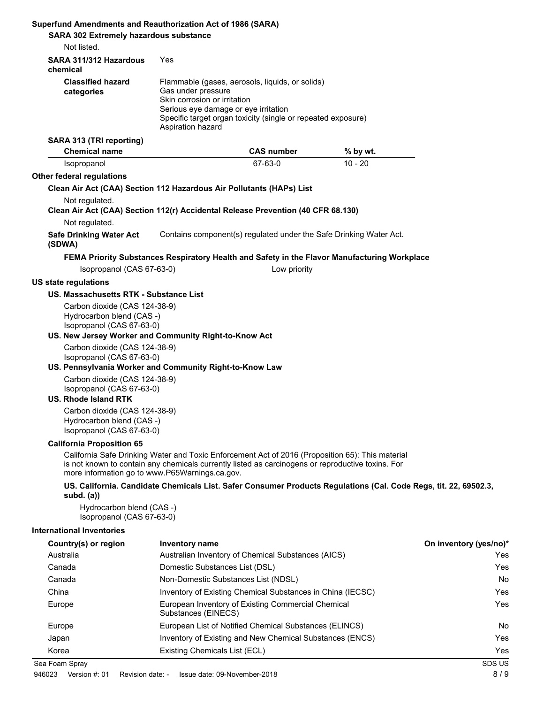| Superfund Amendments and Reauthorization Act of 1986 (SARA)<br><b>SARA 302 Extremely hazardous substance</b><br>Not listed.                                                |                                                                                                                 |                                                                                                                 |                                                                                                                  |                        |
|----------------------------------------------------------------------------------------------------------------------------------------------------------------------------|-----------------------------------------------------------------------------------------------------------------|-----------------------------------------------------------------------------------------------------------------|------------------------------------------------------------------------------------------------------------------|------------------------|
| SARA 311/312 Hazardous<br>chemical                                                                                                                                         | Yes                                                                                                             |                                                                                                                 |                                                                                                                  |                        |
| <b>Classified hazard</b><br>categories                                                                                                                                     | Gas under pressure<br>Skin corrosion or irritation<br>Serious eye damage or eye irritation<br>Aspiration hazard | Flammable (gases, aerosols, liquids, or solids)<br>Specific target organ toxicity (single or repeated exposure) |                                                                                                                  |                        |
| SARA 313 (TRI reporting)<br><b>Chemical name</b>                                                                                                                           |                                                                                                                 | <b>CAS number</b>                                                                                               | % by wt.                                                                                                         |                        |
| Isopropanol                                                                                                                                                                |                                                                                                                 | 67-63-0                                                                                                         | $10 - 20$                                                                                                        |                        |
| Other federal regulations                                                                                                                                                  |                                                                                                                 |                                                                                                                 |                                                                                                                  |                        |
| Clean Air Act (CAA) Section 112 Hazardous Air Pollutants (HAPs) List<br>Not regulated.<br>Clean Air Act (CAA) Section 112(r) Accidental Release Prevention (40 CFR 68.130) |                                                                                                                 |                                                                                                                 |                                                                                                                  |                        |
| Not regulated.                                                                                                                                                             |                                                                                                                 |                                                                                                                 |                                                                                                                  |                        |
| <b>Safe Drinking Water Act</b><br>(SDWA)                                                                                                                                   |                                                                                                                 |                                                                                                                 | Contains component(s) regulated under the Safe Drinking Water Act.                                               |                        |
|                                                                                                                                                                            |                                                                                                                 |                                                                                                                 | FEMA Priority Substances Respiratory Health and Safety in the Flavor Manufacturing Workplace                     |                        |
| Isopropanol (CAS 67-63-0)                                                                                                                                                  |                                                                                                                 | Low priority                                                                                                    |                                                                                                                  |                        |
| <b>US state regulations</b>                                                                                                                                                |                                                                                                                 |                                                                                                                 |                                                                                                                  |                        |
| US. Massachusetts RTK - Substance List<br>Carbon dioxide (CAS 124-38-9)<br>Hydrocarbon blend (CAS -)<br>Isopropanol (CAS 67-63-0)                                          |                                                                                                                 |                                                                                                                 |                                                                                                                  |                        |
| US. New Jersey Worker and Community Right-to-Know Act                                                                                                                      |                                                                                                                 |                                                                                                                 |                                                                                                                  |                        |
| Carbon dioxide (CAS 124-38-9)<br>Isopropanol (CAS 67-63-0)                                                                                                                 |                                                                                                                 |                                                                                                                 |                                                                                                                  |                        |
| US. Pennsylvania Worker and Community Right-to-Know Law                                                                                                                    |                                                                                                                 |                                                                                                                 |                                                                                                                  |                        |
| Carbon dioxide (CAS 124-38-9)<br>Isopropanol (CAS 67-63-0)<br><b>US. Rhode Island RTK</b>                                                                                  |                                                                                                                 |                                                                                                                 |                                                                                                                  |                        |
| Carbon dioxide (CAS 124-38-9)<br>Hydrocarbon blend (CAS -)<br>Isopropanol (CAS 67-63-0)                                                                                    |                                                                                                                 |                                                                                                                 |                                                                                                                  |                        |
| <b>California Proposition 65</b>                                                                                                                                           |                                                                                                                 |                                                                                                                 |                                                                                                                  |                        |
| is not known to contain any chemicals currently listed as carcinogens or reproductive toxins. For<br>more information go to www.P65Warnings.ca.gov.                        |                                                                                                                 |                                                                                                                 | California Safe Drinking Water and Toxic Enforcement Act of 2016 (Proposition 65): This material                 |                        |
| subd. $(a)$                                                                                                                                                                |                                                                                                                 |                                                                                                                 | US. California. Candidate Chemicals List. Safer Consumer Products Regulations (Cal. Code Regs, tit. 22, 69502.3, |                        |
| Hydrocarbon blend (CAS -)<br>Isopropanol (CAS 67-63-0)                                                                                                                     |                                                                                                                 |                                                                                                                 |                                                                                                                  |                        |
| <b>International Inventories</b>                                                                                                                                           |                                                                                                                 |                                                                                                                 |                                                                                                                  |                        |
| Country(s) or region                                                                                                                                                       | Inventory name                                                                                                  |                                                                                                                 |                                                                                                                  | On inventory (yes/no)* |
| Australia                                                                                                                                                                  |                                                                                                                 | Australian Inventory of Chemical Substances (AICS)                                                              |                                                                                                                  | Yes                    |
| Canada<br>Canada                                                                                                                                                           | Domestic Substances List (DSL)                                                                                  |                                                                                                                 |                                                                                                                  | Yes                    |
| China                                                                                                                                                                      | Non-Domestic Substances List (NDSL)                                                                             | Inventory of Existing Chemical Substances in China (IECSC)                                                      |                                                                                                                  | No<br>Yes              |
| Europe                                                                                                                                                                     | Substances (EINECS)                                                                                             | European Inventory of Existing Commercial Chemical                                                              |                                                                                                                  | Yes                    |
| Europe                                                                                                                                                                     |                                                                                                                 | European List of Notified Chemical Substances (ELINCS)                                                          |                                                                                                                  | No                     |
| Japan                                                                                                                                                                      |                                                                                                                 | Inventory of Existing and New Chemical Substances (ENCS)                                                        |                                                                                                                  | Yes                    |
| Korea                                                                                                                                                                      | Existing Chemicals List (ECL)                                                                                   |                                                                                                                 |                                                                                                                  | Yes                    |
| Sea Foam Spray                                                                                                                                                             |                                                                                                                 |                                                                                                                 |                                                                                                                  | SDS US                 |